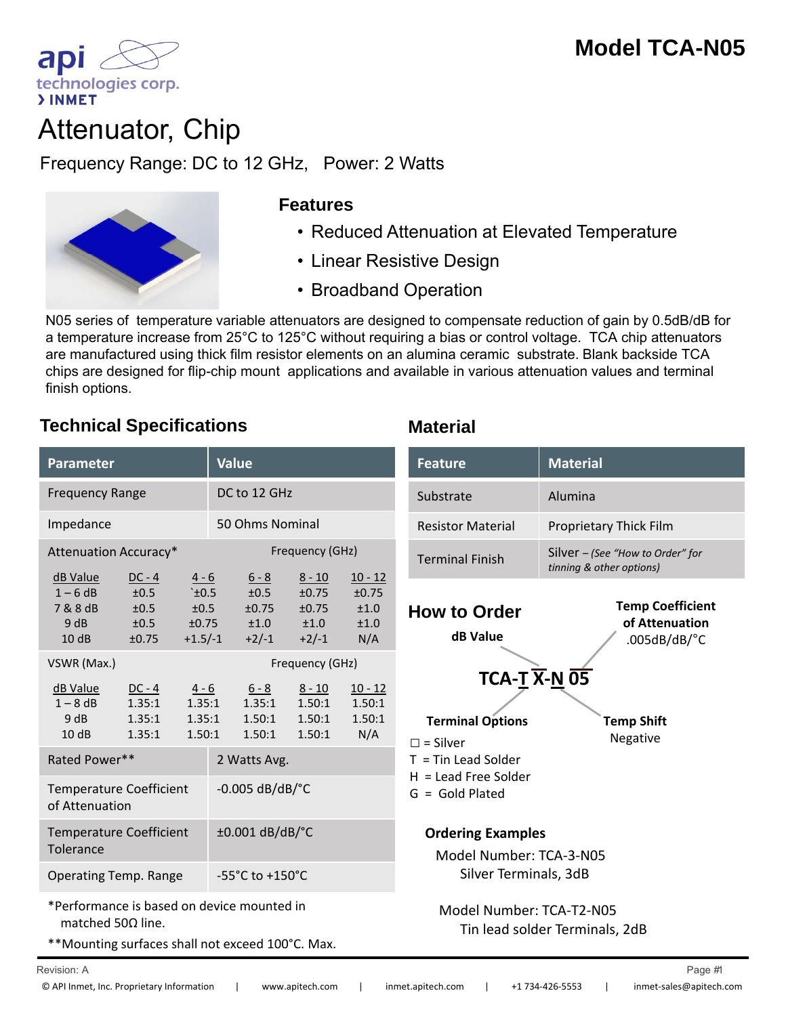

# Attenuator, Chip

Frequency Range: DC to 12 GHz, Power: 2 Watts Attenuator, Chip<br>
Frequency Range: DC to 12 GHz, Power: 2 Watts<br>
Features<br>
• Reduced Attenuation at Elevated Temperature



### **Features**

- 
- Linear Resistive Design
- Broadband Operation

N05 series of temperature variable attenuators are designed to compensate reduction of gain by 0.5dB/dB for a temperature increase from 25°C to 125°C without requiring a bias or control voltage. TCA chip attenuators are manufactured using thick film resistor elements on an alumina ceramic substrate. Blank backside TCA chips are designed for flip-chip mount applications and available in various attenuation values and terminal finish options.

## **Technical Specifications Material**

| Parameter                                                 |                                           |                                          | <b>Value</b>               |                                                                  |                                                    |                                            |  |
|-----------------------------------------------------------|-------------------------------------------|------------------------------------------|----------------------------|------------------------------------------------------------------|----------------------------------------------------|--------------------------------------------|--|
| <b>Frequency Range</b>                                    |                                           |                                          | DC to 12 GHz               |                                                                  |                                                    |                                            |  |
| Impedance                                                 |                                           |                                          | 50 Ohms Nominal            |                                                                  |                                                    |                                            |  |
| Attenuation Accuracy*                                     |                                           |                                          | Frequency (GHz)            |                                                                  |                                                    |                                            |  |
| <u>dB Value</u><br>$1 - 6$ dB<br>7 & 8 dB<br>9 dB<br>10dB | $DC - 4$<br>±0.5<br>±0.5<br>±0.5<br>±0.75 | $4 - 6$<br>` $±0.5$<br>±0.5<br>$+1.5/-1$ |                            | $6 - 8$<br>$\pm 0.5$<br>±0.75<br>$\pm 0.75$ $\pm 1.0$<br>$+2/-1$ | $8 - 10$<br>$\pm 0.75$<br>±0.75<br>±1.0<br>$+2/-1$ | $10 - 12$<br>±0.75<br>±1.0<br>±1.0<br>N/A  |  |
| VSWR (Max.)                                               |                                           |                                          |                            | Frequency (GHz)                                                  |                                                    |                                            |  |
| dB Value<br>$1 - 8$ dB<br>9 dB<br>10dB                    | $DC - 4$<br>1.35:1<br>1.35:1<br>1.35:1    | $4 - 6$                                  | 1.35:1<br>1.35:1<br>1.50:1 | $6 - 8$<br>1.35:1<br>1.50:1<br>1.50:1                            | $8 - 10$<br>1.50:1<br>1.50:1<br>1.50:1             | <u> 10 - 12</u><br>1.50:1<br>1.50:1<br>N/A |  |
| Rated Power**                                             |                                           |                                          |                            | 2 Watts Avg.                                                     |                                                    |                                            |  |
| <b>Temperature Coefficient</b><br>of Attenuation          |                                           |                                          |                            | $-0.005$ dB/dB/ $^{\circ}$ C                                     |                                                    |                                            |  |
| <b>Temperature Coefficient</b><br>Tolerance               |                                           |                                          |                            | $\pm 0.001$ dB/dB/°C                                             |                                                    |                                            |  |
| <b>Operating Temp. Range</b>                              |                                           |                                          |                            | $-55^{\circ}$ C to $+150^{\circ}$ C                              |                                                    |                                            |  |
|                                                           |                                           |                                          |                            |                                                                  |                                                    |                                            |  |

\*Performance is based on device mounted in matched 50Ω line.

\*\*Mounting surfaces shall not exceed 100°C. Max.

| meter                                         |                                           |                                                    | Value                |                                             | <b>Feature</b>                                            | <b>Material</b>                                                      |                                                                                    |                                                                         |
|-----------------------------------------------|-------------------------------------------|----------------------------------------------------|----------------------|---------------------------------------------|-----------------------------------------------------------|----------------------------------------------------------------------|------------------------------------------------------------------------------------|-------------------------------------------------------------------------|
| DC to 12 GHz<br>uency Range                   |                                           |                                                    |                      |                                             | Substrate                                                 | Alumina                                                              |                                                                                    |                                                                         |
| dance                                         |                                           |                                                    | 50 Ohms Nominal      |                                             |                                                           | <b>Resistor Material</b>                                             | Proprietary Thick Film                                                             |                                                                         |
|                                               | uation Accuracy*                          | Frequency (GHz)                                    |                      |                                             | <b>Terminal Finish</b>                                    | Silver - (See "How to Order" for<br>tinning & other options)         |                                                                                    |                                                                         |
| <u>alue</u><br>5 dB<br>3 dB<br>łВ<br>dB       | $DC - 4$<br>±0.5<br>±0.5<br>±0.5<br>±0.75 | $4 - 6$<br>$\pm 0.5$<br>±0.5<br>±0.75<br>$+1.5/-1$ |                      | $6 - 8$<br>±0.5<br>±0.75<br>±1.0<br>$+2/-1$ | $8 - 10$<br>±0.75<br>±0.75<br>±1.0<br>$+2/-1$             | $10 - 12$<br>±0.75<br>±1.0<br>±1.0<br>N/A                            | <b>How to Order</b><br>dB Value                                                    | <b>Temp Coefficient</b><br>of Attenuation<br>$.005dB/dB$ <sup>o</sup> C |
| : (Max.)<br><u>alue</u><br>3 dB<br>ИB<br>dB   | $DC - 4$<br>1.35:1<br>1.35:1<br>1.35:1    | $4 - 6$<br>1.35:1<br>1.35:1<br>1.50:1              |                      | $6 - 8$<br>1.35:1<br>1.50:1<br>1.50:1       | Frequency (GHz)<br>$8 - 10$<br>1.50:1<br>1.50:1<br>1.50:1 | $10 - 12$<br>1.50:1<br>1.50:1<br>N/A                                 | $TCA-T\overline{X}N\overline{05}$<br><b>Terminal Options</b><br>$\square$ = Silver | <b>Temp Shift</b><br>Negative                                           |
| d Power**<br>erature Coefficient<br>tenuation |                                           | 2 Watts Avg.<br>$-0.005$ dB/dB/ $^{\circ}$ C       |                      |                                             |                                                           | $T =$ Tin Lead Solder<br>$H =$ Lead Free Solder<br>$G = Gold Plated$ |                                                                                    |                                                                         |
| verature Coefficient                          |                                           |                                                    | $\pm 0.001$ dB/dB/°C |                                             |                                                           | <b>Ordering Examples</b>                                             |                                                                                    |                                                                         |

Model Number: TCA‐3‐N05 Silver Terminals, 3dB

Model Number: TCA‐T2‐N05 Tin lead solder Terminals, 2dB